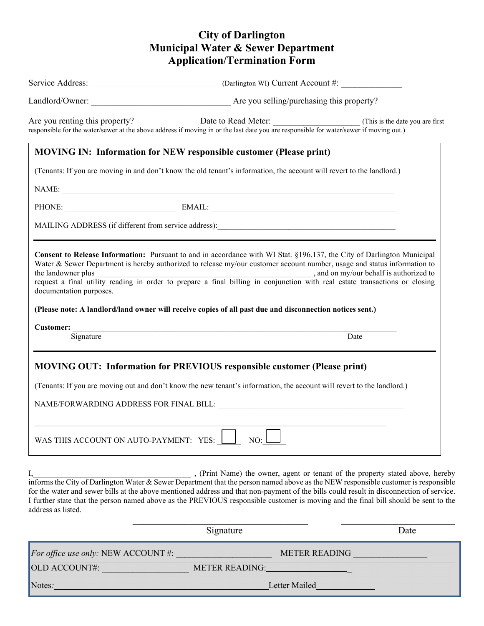## **City of Darlington Municipal Water & Sewer Department Application/Termination Form**

|                                        | Service Address: ________________________________(Darlington WI) Current Account #:                                                                                                                                                                                                                                                                                                                                                                                                                     |      |
|----------------------------------------|---------------------------------------------------------------------------------------------------------------------------------------------------------------------------------------------------------------------------------------------------------------------------------------------------------------------------------------------------------------------------------------------------------------------------------------------------------------------------------------------------------|------|
|                                        |                                                                                                                                                                                                                                                                                                                                                                                                                                                                                                         |      |
|                                        | Are you renting this property? Date to Read Meter: (This is the date you are first responsible for the water/sewer at the above address if moving in or the last date you are responsible for water/sewer if moving out.)                                                                                                                                                                                                                                                                               |      |
|                                        | <b>MOVING IN: Information for NEW responsible customer (Please print)</b>                                                                                                                                                                                                                                                                                                                                                                                                                               |      |
|                                        | (Tenants: If you are moving in and don't know the old tenant's information, the account will revert to the landlord.)                                                                                                                                                                                                                                                                                                                                                                                   |      |
|                                        | NAME:                                                                                                                                                                                                                                                                                                                                                                                                                                                                                                   |      |
|                                        | PHONE: EMAIL: EMAIL:                                                                                                                                                                                                                                                                                                                                                                                                                                                                                    |      |
|                                        |                                                                                                                                                                                                                                                                                                                                                                                                                                                                                                         |      |
| documentation purposes.                | Consent to Release Information: Pursuant to and in accordance with WI Stat. §196.137, the City of Darlington Municipal<br>Water & Sewer Department is hereby authorized to release my/our customer account number, usage and status information to                                                                                                                                                                                                                                                      |      |
|                                        | (Please note: A landlord/land owner will receive copies of all past due and disconnection notices sent.)                                                                                                                                                                                                                                                                                                                                                                                                |      |
| Signature                              | Date                                                                                                                                                                                                                                                                                                                                                                                                                                                                                                    |      |
|                                        | <b>MOVING OUT: Information for PREVIOUS responsible customer (Please print)</b><br>(Tenants: If you are moving out and don't know the new tenant's information, the account will revert to the landlord.)                                                                                                                                                                                                                                                                                               |      |
|                                        | NAME/FORWARDING ADDRESS FOR FINAL BILL:                                                                                                                                                                                                                                                                                                                                                                                                                                                                 |      |
| WAS THIS ACCOUNT ON AUTO-PAYMENT: YES: | NO:                                                                                                                                                                                                                                                                                                                                                                                                                                                                                                     |      |
| address as listed.                     | , (Print Name) the owner, agent or tenant of the property stated above, hereby<br>informs the City of Darlington Water & Sewer Department that the person named above as the NEW responsible customer is responsible<br>for the water and sewer bills at the above mentioned address and that non-payment of the bills could result in disconnection of service.<br>I further state that the person named above as the PREVIOUS responsible customer is moving and the final bill should be sent to the |      |
|                                        | Signature                                                                                                                                                                                                                                                                                                                                                                                                                                                                                               | Date |
| For office use only: NEW ACCOUNT #:    | <b>METER READING</b>                                                                                                                                                                                                                                                                                                                                                                                                                                                                                    |      |
| OLD ACCOUNT#:                          | <b>METER READING:</b>                                                                                                                                                                                                                                                                                                                                                                                                                                                                                   |      |

Notes*:* Letter Mailed